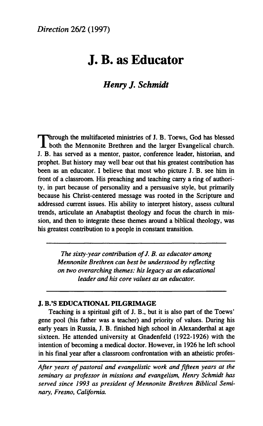# **J. Β. as Educator**

# *Henry J. Schmidt*

Through the multifaceted ministries of J. B. Toews, God has blessed both the Mennonite Brethren and the larger Evangelical church. both the Mennonite Brethren and the larger Evangelical church. J. B. has served as a mentor, pastor, conference leader, historian, and prophet. But history may well bear out that his greatest contribution has been as an educator. I believe that most who picture J. B. see him in front of a classroom. His preaching and teaching carry a ring of authority, in part because of personality and a persuasive style, but primarily because his Christ-centered message was rooted in the Scripture and addressed current issues. His ability to interpret history, assess cultural trends, articulate an Anabaptist theology and focus the church in mission, and then to integrate these themes around a biblical theology, was his greatest contribution to a people in constant transition.

*The sixty-year contribution of J. B. as educator among Mennonite Brethren can best be understood by reflecting on two overarching themes: his legacy as an educational leader and his core values as an educator.* 

#### **J. B.'S EDUCATIONAL PILGRIMAGE**

Teaching is a spiritual gift of J. B., but it is also part of the Toews' gene pool (his father was a teacher) and priority of values. During his early years in Russia, J. B. finished high school in Alexanderthal at age sixteen. He attended university at Gnadenfeld (1922-1926) with the intention of becoming a medical doctor. However, in 1926 he left school in his final year after a classroom confrontation with an atheistic profes-

*Afier years of pastoral and evangelistic work and fifteen years at the seminary as professor in missions and evangelism, Henry Schmidt has served since 1993 as president of Mennonite Brethren Biblical Seminary, Fresno, California.*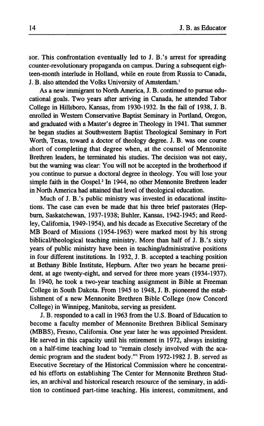**sor. This confrontation eventually led to J. B.'s arrest for spreading counter-revolutionary propaganda on campus. During a subsequent eighteen-month interlude in Holland, while en route from Russia to Canada, J. B. also attended the Volks University of Amsterdam.<sup>1</sup>**

**As a new immigrant to North America, J. B. continued to pursue educational goals. Two years after arriving in Canada, he attended Tabor College in Hillsboro, Kansas, from 1930-1932. In the fall of 1938, J. B. enrolled in Western Conservative Baptist Seminary in Portland, Oregon, and graduated with a Master's degree in Theology in 1941. That summer he began studies at Southwestern Baptist Theological Seminary in Fort Worth, Texas, toward a doctor of theology degree. J. B. was one course short of completing that degree when, at the counsel of Mennonite Brethren leaders, he terminated his studies. The decision was not easy, but the warning was clear: You will not be accepted in the brotherhood if you continue to pursue a doctoral degree in theology. You will lose your simple faith in the Gospel.<sup>2</sup> In 1944, no other Mennonite Brethren leader in North America had attained that level of theological education.** 

**Much of J. B.'s public ministry was invested in educational institutions. The case can even be made that his three brief pastorates (Hepburn, Saskatchewan, 1937-1938; Buhler, Kansas, 1942-1945; and Reedley, California, 1949-1954), and his decade as Executive Secretary of the MB Board of Missions (1954-1963) were marked most by his strong biblical/theological teaching ministry. More than half of J. B.'s sixty years of public ministry have been in teaching/administrative positions in four different institutions. In 1932, J. B. accepted a teaching position at Bethany Bible Institute, Hepburn. After two years he became president, at age twenty-eight, and served for three more years (1934-1937). In 1940, he took a two-year teaching assignment in Bible at Freeman College in South Dakota. From 1945 to 1948, J. B. pioneered the establishment of a new Mennonite Brethren Bible College (now Concord College) in Winnipeg, Manitoba, serving as president.** 

**J. B. responded to a call in 1963 from the U.S. Board of Education to become a faculty member of Mennonite Brethren Biblical Seminary (MBBS), Fresno, California. One year later he was appointed President. He served in this capacity until his retirement in 1972, always insisting on a half-time teaching load to "remain closely involved with the academic program and the student body."<sup>1</sup> From 1972-1982 J. B. served as Executive Secretary of the Historical Commission where he concentrated his efforts on establishing The Center for Mennonite Brethren Studies, an archival and historical research resource of the seminary, in addition to continued part-time teaching. His interest, commitment, and**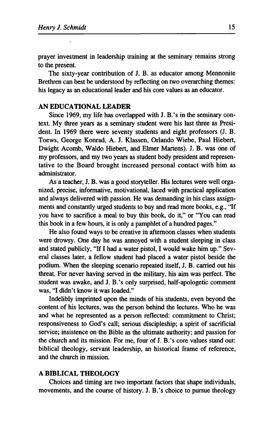prayer investment in leadership training at the seminary remains strong to the present.

The sixty-year contribution of J. B. as educator among Mennonite Brethren can best be understood by reflecting on two overarching themes: his legacy as an educational leader and his core values as an educator.

# **AN EDUCATIONAL LEADER**

Since 1969, my life has overlapped with J. B.'s in the seminary context. My three years as a seminary student were his last three as President. In 1969 there were seventy students and eight professors (J. B. Toews, George Konrad, A. J. Klassen, Orlando Wiebe, Paul Hiebert, Dwight Acomb, Waldo Hiebert, and Elmer Martens). J. B. was one of my professors, and my two years as student body president and representative to the Board brought increased personal contact with him as administrator.

As a teacher, J. B. was a good storyteller. His lectures were well organized, precise, informative, motivational, laced with practical application and always delivered with passion. He was demanding in his class assignments and constantly urged students to buy and read more books, e.g., "If you have to sacrifice a meal to buy this book, do it," or "You can read this book in a few hours, it is only a pamphlet of a hundred pages."

He also found ways to be creative in afternoon classes when students were drowsy. One day he was annoyed with a student sleeping in class and stated publicly, "If I had a water pistol, I would wake him up." Several classes later, a fellow student had placed a water pistol beside the podium. When the sleeping scenario repeated itself, J. B. carried out his threat. For never having served in the military, his aim was perfect. The student was awake, and J. B.'s only surprised, half-apologetic comment was, "I didn't know it was loaded."

Indelibly imprinted upon the minds of his students, even beyond the content of his lectures, was the person behind the lectures. Who he was and what he represented as a person reflected: commitment to Christ; responsiveness to God's call; serious discipleship; a spirit of sacrificial service; insistence on the Bible as the ultimate authority; and passion for the church and its mission. For me, four of J. B.'s core values stand out: biblical theology, servant leadership, an historical frame of reference, and the church in mission.

## **A BIBLICAL THEOLOGY**

Choices and timing are two important factors that shape individuals, movements, and the course of history. J. B.'s choice to pursue theology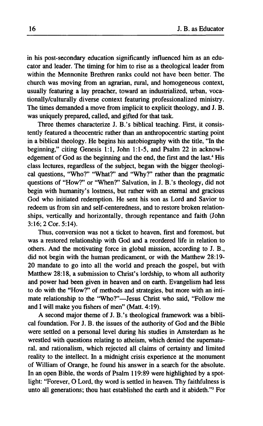**in his post-secondary education significantly influenced him as an educator and leader. The timing for him to rise as a theological leader from within the Mennonite Brethren ranks could not have been better. The church was moving from an agrarian, rural, and homogeneous context, usually featuring a lay preacher, toward an industrialized, urban, vocationally/culturally diverse context featuring professionalized ministry. The times demanded a move from implicit to explicit theology, and J. B. was uniquely prepared, called, and gifted for that task.** 

**Three themes characterize J. B.'s biblical teaching. First, it consistently featured a theocentric rather than an anthropocentric starting point in a biblical theology. He begins his autobiography with the title, "In the beginning," citing Genesis 1:1, John 1:1-5, and Psalm 22 in acknowledgement of God as the beginning and the end, the first and the last.<sup>4</sup> His class lectures, regardless of the subject, began with the bigger theological questions, "Who?" "What?" and "Why?" rather than the pragmatic questions of "How?" or "When?" Salvation, in J. B.'s theology, did not begin with humanity's lostness, but rather with an eternal and gracious God who initiated redemption. He sent his son as Lord and Savior to redeem us from sin and self-centeredness, and to restore broken relationships, vertically and horizontally, through repentance and faith (John 3:16; 2 Cor. 5:14).** 

**Thus, conversion was not a ticket to heaven, first and foremost, but was a restored relationship with God and a reordered life in relation to others. And the motivating force in global mission, according to J. B., did not begin with the human predicament, or with the Matthew 28:19- 20 mandate to go into all the world and preach the gospel, but with Matthew 28:18, a submission to Christ's lordship, to whom all authority and power had been given in heaven and on earth. Evangelism had less to do with the "How?" of methods and strategies, but more with an intimate relationship to the "Who?"—Jesus Christ who said, "Follow me and I will make you fishers of men" (Matt. 4:19).** 

**A second major theme of J. B.'s theological framework was a biblical foundation. For J. B. the issues of the authority of God and the Bible were settled on a personal level during his studies in Amsterdam as he wrestled with questions relating to atheism, which denied the supernatural, and rationalism, which rejected all claims of certainty and limited reality to the intellect. In a midnight crisis experience at the monument of William of Orange, he found his answer in a search for the absolute. In an open Bible, the words of Psalm 119:89 were highlighted by a spotlight: "Forever, O Lord, thy word is settled in heaven. Thy faithfulness is unto all generations; thou hast established the earth and it abideth."<sup>5</sup> For**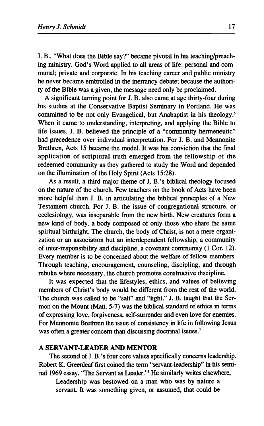J. Β., "What does the Bible say?" became pivotal in his teaching/preaching ministry. God's Word applied to all areas of life: personal and communal; private and corporate. In his teaching career and public ministry he never became embroiled in the inerrancy debate; because the authority of the Bible was a given, the message need only be proclaimed.

A significant turning point for J. B. also came at age thirty-four during his studies at the Conservative Baptist Seminary in Portland. He was committed to be not only Evangelical, but Anabaptist in his theology.<sup>6</sup> When it came to understanding, interpreting, and applying the Bible to life issues, J. B. believed the principle of a "community hermeneutic" had precedence over individual interpretation. For J. B. and Mennonite Brethren, Acts 15 became the model. It was his conviction that the final application of scriptural truth emerged from the fellowship of the redeemed community as they gathered to study the Word and depended on the illumination of the Holy Spirit (Acts 15:28).

As a result, a third major theme of J. B.'s biblical theology focused on the nature of the church. Few teachers on the book of Acts have been more helpful than J. B. in articulating the biblical principles of a New Testament church. For J. B. the issue of congregational structure, or ecclesiology, was inseparable from the new birth. New creatures form a new kind of body, a body composed of only those who share the same spiritual birthright. The church, the body of Christ, is not a mere organization or an association but an interdependent fellowship, a community of inter-responsibility and discipline, a covenant community (1 Cor. 12). Every member is to be concerned about the welfare of fellow members. Through teaching, encouragement, counseling, discipling, and through rebuke where necessary, the church promotes constructive discipline.

It was expected that the lifestyles, ethics, and values of believing members of Christ's body would be different from the rest of the world. The church was called to be "salt" and "light." J. B. taught that the Sermon on the Mount (Matt. 5-7) was the biblical standard of ethics in terms of expressing love, forgiveness, self-surrender and even love for enemies. For Mennonite Brethren the issue of consistency in life in following Jesus was often a greater concern than discussing doctrinal issues.<sup>7</sup>

#### **A SERVANT-LEADER AND MENTOR**

The second of J. B.'s four core values specifically concerns leadership. Robert K. Greenleaf first coined the term "servant-leadership" in his seminal 1969 essay, "The Servant as Leader."<sup>8</sup> He similarly writes elsewhere,

Leadership was bestowed on a man who was by nature a servant. It was something given, or assumed, that could be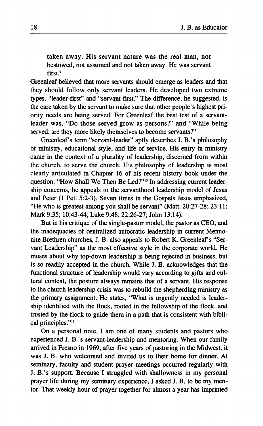**taken away. His servant nature was the real man, not bestowed, not assumed and not taken away. He was servant first.<sup>9</sup>**

**Greenleaf believed that more servants should emerge as leaders and that they should follow only servant leaders. He developed two extreme types, "leader-first" and "servant-first." The difference, he suggested, is the care taken by the servant to make sure that other people's highest priority needs are being served. For Greenleaf the best test of a servantleader was, "Do those served grow as persons?" and "While being served, are they more likely themselves to become servants?"** 

**Greenleaf s term "servant-leader" aptly describes J. B.'s philosophy of ministry, educational style, and life of service. His entry in ministry came in the context of a plurality of leadership, discerned from within the church, to serve the church. His philosophy of leadership is most clearly articulated in Chapter 16 of his recent history book under the question, "How Shall We Then Be Led?"<sup>10</sup> In addressing current leadership concerns, he appeals to the servanthood leadership model of Jesus and Peter (1 Pet. 5:2-3). Seven times in the Gospels Jesus emphasized, "He who is greatest among you shall be servant" (Matt. 20:27-28; 23:11; Mark 9:35; 10:43-44; Luke 9:48; 22:26-27; John 13:14).** 

**But in his critique of the single-pastor model, the pastor as CEO, and the inadequacies of centralized autocratic leadership in current Mennonite Brethren churches, J. B. also appeals to Robert K. Greenleaf s "Servant Leadership" as the most effective style in the corporate world. He muses about why top-down leadership is being rejected in business, but is so readily accepted in the church. While J. B. acknowledges that the functional structure of leadership would vary according to gifts and cultural context, the posture always remains that of a servant. His response to the church leadership crisis was to rebuild the shepherding ministry as the primary assignment. He states, "What is urgently needed is leadership identified with the flock, rooted in the fellowship of the flock, and trusted by the flock to guide them in a path that is consistent with biblical principles."<sup>11</sup>**

**On a personal note, I am one of many students and pastors who experienced J. B.'s servant-leadership and mentoring. When our family arrived in Fresno in 1969, after five years of pastoring in the Midwest, it was J. B. who welcomed and invited us to their home for dinner. At seminary, faculty and student prayer meetings occurred regularly with J. B.'s support. Because I struggled with shallowness in my personal prayer life during my seminary experience, I asked J. B. to be my mentor. That weekly hour of prayer together for almost a year has imprinted**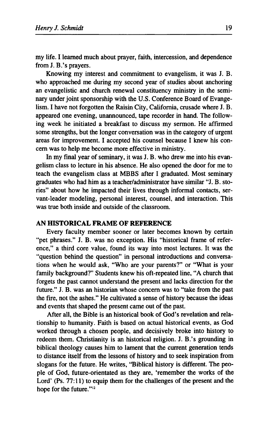my life. I learned much about prayer, faith, intercession, and dependence from J. B.'s prayers.

Knowing my interest and commitment to evangelism, it was J. B. who approached me during my second year of studies about anchoring an evangelistic and church renewal constituency ministry in the seminary under joint sponsorship with the U.S. Conference Board of Evangelism. I have not forgotten the Raisin City, California, crusade where J. B. appeared one evening, unannounced, tape recorder in hand. The following week he initiated a breakfast to discuss my sermon. He affirmed some strengths, but the longer conversation was in the category of urgent areas for improvement. I accepted his counsel because I knew his concern was to help me become more effective in ministry.

In my final year of seminary, it was J. B. who drew me into his evangelism class to lecture in his absence. He also opened the door for me to teach the evangelism class at MBBS after I graduated. Most seminary graduates who had him as a teacher/administrator have similar "J. B. stories" about how he impacted their lives through informal contacts, servant-leader modeling, personal interest, counsel, and interaction. This was true both inside and outside of the classroom.

## **AN HISTORICAL FRAME OF REFERENCE**

Every faculty member sooner or later becomes known by certain "pet phrases." J. B. was no exception. His "historical frame of reference," a third core value, found its way into most lectures. It was the "question behind the question" in personal introductions and conversations when he would ask, "Who are your parents?" or "What is your family background?" Students knew his oft-repeated line, "A church that forgets the past cannot understand the present and lacks direction for the future." J. B. was an historian whose concern was to "take from the past the fire, not the ashes." He cultivated a sense of history because the ideas and events that shaped the present came out of the past.

After all, the Bible is an historical book of God's revelation and relationship to humanity. Faith is based on actual historical events, as God worked through a chosen people, and decisively broke into history to redeem them. Christianity is an historical religion. J. B.'s grounding in biblical theology causes him to lament that the current generation tends to distance itself from the lessons of history and to seek inspiration from slogans for the future. He writes, "Biblical history is different. The people of God, future-orientated as they are, 'remember the works of the Lord' (Ps. 77:11) to equip them for the challenges of the present and the hope for the future."<sup>12</sup>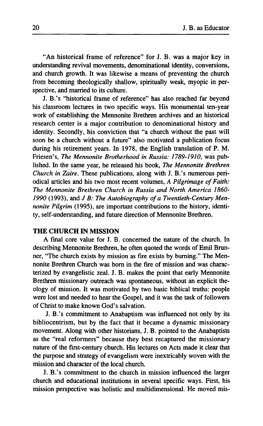"An historical frame of reference" for J. B. was a major key in understanding revival movements, denominational identity, conversions, and church growth. It was likewise a means of preventing the church from becoming theologically shallow, spiritually weak, myopic in perspective, and married to its culture.

J. B.'s "historical frame of reference" has also reached far beyond his classroom lectures in two specific ways. His monumental ten-year work of establishing the Mennonite Brethren archives and an historical research center is a major contribution to denominational history and identity. Secondly, his conviction that "a church without the past will soon be a church without a future" also motivated a publication focus during his retirement years. In 1978, the English translation of P. M. Friesen's, *The Mennonite Brotherhood in Russia: 1789-1910,* was published. In the same year, he released his book, *The Mennonite Brethren Church in Zaire.* These publications, along with J. B.'s numerous periodical articles and his two most recent volumes, *A Pilgrimage of Faith: The Mennonite Brethren Church in Russia and North America 1860- 1990* (1993), and *J B: The Autobiography of a Twentieth-Century Mennonite Pilgrim* (1995), are important contributions to the history, identity, self-understanding, and future direction of Mennonite Brethren.

#### **THE CHURCH IN MISSION**

A final core value for J. Β. concerned the nature of the church. In describing Mennonite Brethren, he often quoted the words of Emil Brunner, "The church exists by mission as fire exists by burning." The Mennonite Brethren Church was born in the fire of mission and was characterized by evangelistic zeal. J. B. makes the point that early Mennonite Brethren missionary outreach was spontaneous, without an explicit theology of mission. It was motivated by two basic biblical truths: people were lost and needed to hear the Gospel, and it was the task of followers of Christ to make known God's salvation.

J. B.'s commitment to Anabaptism was influenced not only by its bibliocentrism, but by the fact that it became a dynamic missionary movement. Along with other historians, J. B. pointed to the Anabaptists as the "real reformers" because they best recaptured the missionary nature of the first-century church. His lectures on Acts made it clear that the purpose and strategy of evangelism were inextricably woven with the mission and character of the local church.

J. B.'s commitment to the church in mission influenced the larger church and educational institutions in several specific ways. First, his mission perspective was holistic and multidimensional. He moved mis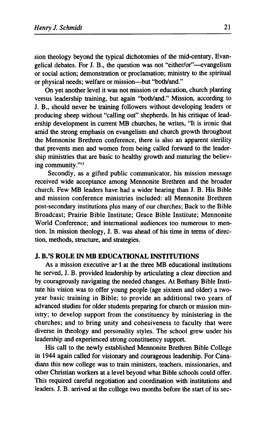sion theology beyond the typical dichotomies of the mid-century, Evangelical debates. For J. B., the question was not "either/or"—evangelism or social action; demonstration or proclamation; ministry to the spiritual or physical needs; welfare or mission—but "both/and."

On yet another level it was not mission or education, church planting versus leadership training, but again "both/and." Mission, according to J. B., should never be training followers without developing leaders or producing sheep without "calling out" shepherds. In his critique of leadership development in current MB churches, he writes, "It is ironic that amid the strong emphasis on evangelism and church growth throughout the Mennonite Brethren conference, there is also an apparent sterility that prevents men and women from being called forward to the leadership ministries that are basic to healthy growth and maturing the believing community."<sup>13</sup>

Secondly, as a gifted public communicator, his mission message received wide acceptance among Mennonite Brethren and the broader church. Few MB leaders have had a wider hearing than J. B. His Bible and mission conference ministries included: all Mennonite Brethren post-secondary institutions plus many of our churches; Back to the Bible Broadcast; Prairie Bible Institute; Grace Bible Institute; Mennonite World Conference; and international audiences too numerous to mention. In mission theology, J. B. was ahead of his time in terms of direction, methods, structure, and strategies.

#### **J. B.'S ROLE IN MB EDUCATIONAL INSTITUTIONS**

As a mission executive ar 1 at the three MB educational institutions he served, J. B. provided leadership by articulating a clear direction and by courageously navigating the needed changes. At Bethany Bible Institute his vision was to offer young people (age sixteen and older) a twoyear basic training in Bible; to provide an additional two years of advanced studies for older students preparing for church or mission ministry; to develop support from the constituency by ministering in the churches; and to bring unity and cohesiveness to faculty that were diverse in theology and personality styles. The school grew under his leadership and experienced strong constituency support.

His call to the newly established Mennonite Brethren Bible College in 1944 again called for visionary and courageous leadership. For Canadians this new college was to train ministers, teachers, missionaries, and other Christian workers at a level beyond what Bible schools could offer. This required careful negotiation and coordination with institutions and leaders. J. B. arrived at the college two months before the start of its sec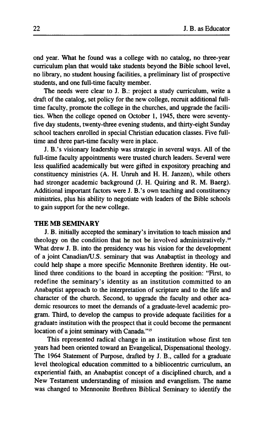ond year. What he found was a college with no catalog, no three-year curriculum plan that would take students beyond the Bible school level, no library, no student housing facilities, a preliminary list of prospective students, and one full-time faculty member.

The needs were clear to J. B.: project a study curriculum, write a draft of the catalog, set policy for the new college, recruit additional fulltime faculty, promote the college in the churches, and upgrade the facilities. When the college opened on October 1, 1945, there were seventyfive day students, twenty-three evening students, and thirty-eight Sunday school teachers enrolled in special Christian education classes. Five fulltime and three part-time faculty were in place.

J. B.'s visionary leadership was strategic in several ways. All of the full-time faculty appointments were trusted church leaders. Several were less qualified academically but were gifted in expository preaching and constituency ministries (A. H. Unruh and Η. H. Janzen), while others had stronger academic background (J. H. Quiring and R. M. Baerg). Additional important factors were J. B.'s own teaching and constituency ministries, plus his ability to negotiate with leaders of the Bible schools to gain support for the new college.

#### **THE MB SEMINARY**

J. B. initially accepted the seminary's invitation to teach mission and theology on the condition that he not be involved administratively.<sup>14</sup> What drew J. B. into the presidency was his vision for the development of a joint Canadian/U.S. seminary that was Anabaptist in theology and could help shape a more specific Mennonite Brethren identity. He outlined three conditions to the board in accepting the position: "First, to redefine the seminary's identity as an institution committed to an Anabaptist approach to the interpretation of scripture and to the life and character of the church. Second, to upgrade the faculty and other academic resources to meet the demands of a graduate-level academic program. Third, to develop the campus to provide adequate facilities for a graduate institution with the prospect that it could become the permanent location of a joint seminary with Canada."<sup>15</sup>

This represented radical change in an institution whose first ten years had been oriented toward an Evangelical, Dispensational theology. The 1964 Statement of Purpose, drafted by J. B., called for a graduate level theological education committed to a bibliocentric curriculum, an experiential faith, an Anabaptist concept of a disciplined church, and a New Testament understanding of mission and evangelism. The name was changed to Mennonite Brethren Biblical Seminary to identify the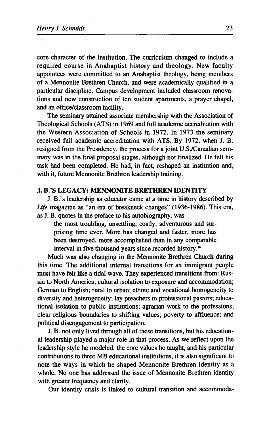$\bar{\Lambda}$ 

core character of the institution. The curriculum changed to include a required course in Anabaptist history and theology. New faculty appointees were committed to an Anabaptist theology, being members of a Mennonite Brethren Church, and were academically qualified in a particular discipline. Campus development included classroom renovations and new construction of ten student apartments, a prayer chapel, and an office/classroom facility.

The seminary attained associate membership with the Association of Theological Schools (ATS) in 1969 and full academic accreditation with the Western Association of Schools in 1972. In 1973 the seminary received full academic accreditation with ATS. By 1972, when J. B. resigned from the Presidency, the process for a joint U.S./Canadian seminary was in the final proposal stages, although not finalized. He felt his task had been completed. He had, in fact, reshaped an institution and, with it, future Mennonite Brethren leadership training.

#### **J. B.'S LEGACY: MENNONITE BRETHREN IDENTITY**

J. B.'s leadership as educator came at a time in history described by *Life* magazine as "an era of breakneck changes" (1936-1986). This era, as J. B. quotes in the preface to his autobiography, was

the most troubling, unsettling, costly, adventurous and surprising time ever. More has changed and faster, more has been destroyed, more accomplished than in any comparable interval in five thousand years since recorded history.<sup>16</sup>

Much was also changing in the Mennonite Brethren Church during this time. The additional internal transitions for an immigrant people must have felt like a tidal wave. They experienced transitions from: Russia to North America; cultural isolation to exposure and accommodation; German to English; rural to urban; ethnic and vocational homogeneity to diversity and heterogeneity; lay preachers to professional pastors; educational isolation to public institutions; agrarian work to the professions; clear religious boundaries to shifting values; poverty to affluence; and political disengagement to participation.

J. B. not only lived through all of these transitions, but his educational leadership played a major role in that process. As we reflect upon the leadership style he modeled, the core values he taught, and his particular contributions to three MB educational institutions, it is also significant to note the ways in which he shaped Mennonite Brethren identity as a whole. No one has addressed the issue of Mennonite Brethren identity with greater frequency and clarity.

Our identity crisis is linked to cultural transition and accommoda-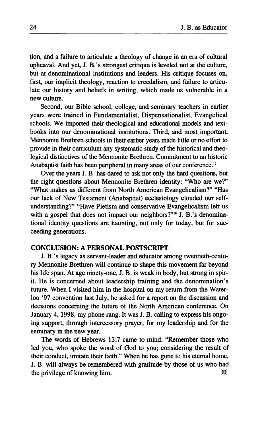tion, and a failure to articulate a theology of change in an era of cultural upheaval. And yet, J. B.'s strongest critique is leveled not at the culture, but at denominational institutions and leaders. His critique focuses on, first, our implicit theology, reaction to creedalism, and failure to articulate our history and beliefs in writing, which made us vulnerable in a new culture.

Second, our Bible school, college, and seminary teachers in earlier years were trained in Fundamentalist, Dispensationalist, Evangelical schools. We imported their theological and educational models and textbooks into our denominational institutions. Third, and most important, Mennonite Brethren schools in their earlier years made little or no effort to provide in their curriculum any systematic study of the historical and theological distinctives of the Mennonite Brethren. Commitment to an historic Anabaptist faith has been peripheral in many areas of our conference.<sup>17</sup>

Over the years J. B. has dared to ask not only the hard questions, but the right questions about Mennonite Brethren identity: "Who are we?" "What makes us different from North American Evangelicalism?" "Has our lack of New Testament (Anabaptist) ecclesiology clouded our selfunderstanding?" "Have Pietism and conservative Evangelicalism left us with a gospel that does not impact our neighbors?"<sup>18</sup> J. B.'s denominational identity questions are haunting, not only for today, but for succeeding generations.

## **CONCLUSION: A PERSONAL POSTSCRIPT**

J. B.'s legacy as servant-leader and educator among twentieth-century Mennonite Brethren will continue to shape this movement far beyond his life span. At age ninety-one, J. B. is weak in body, but strong in spirit. He is concerned about leadership training and the denomination's future. When I visited him in the hospital on my return from the Waterloo '97 convention last July, he asked for a report on the discussion and decisions concerning the future of the North American conference. On January 4, 1998, my phone rang. It was J. B. calling to express his ongoing support, through intercessory prayer, for my leadership and for the seminary in the new year.

The words of Hebrews 13:7 came to mind: "Remember those who led you, who spoke the word of God to you; considering the result of their conduct, imitate their faith." When he has gone to his eternal home, J. B. will always be remembered with gratitude by those of us who had the privilege of knowing him.  $\mathbf{\ddot{x}}$